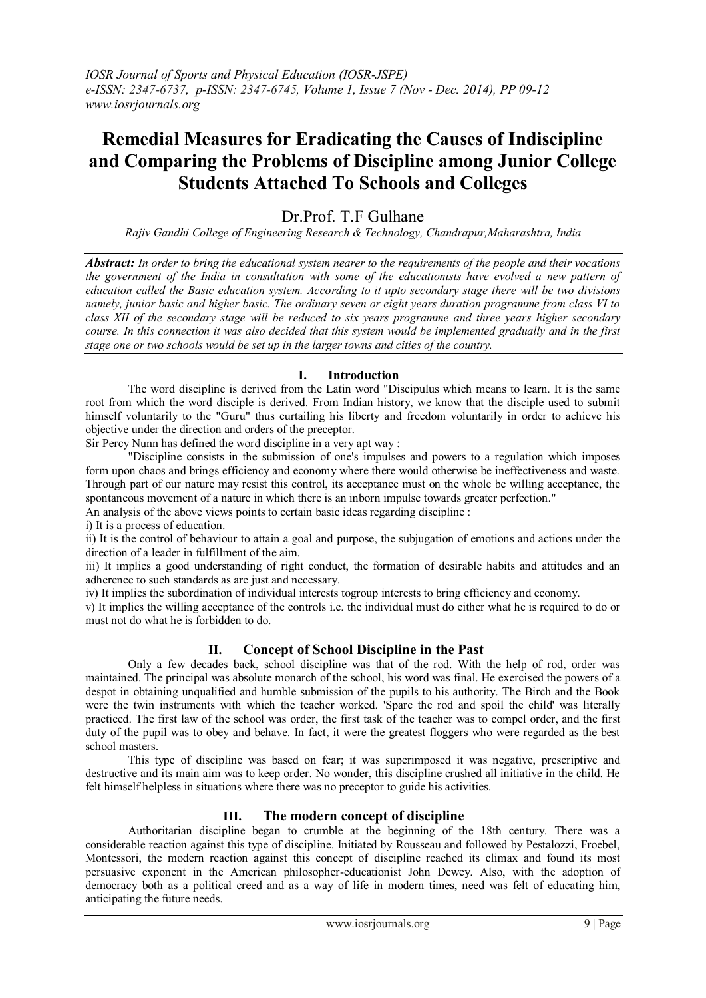# **Remedial Measures for Eradicating the Causes of Indiscipline and Comparing the Problems of Discipline among Junior College Students Attached To Schools and Colleges**

## Dr. Prof. T.F. Gulhane

*Rajiv Gandhi College of Engineering Research & Technology, Chandrapur,Maharashtra, India*

*Abstract: In order to bring the educational system nearer to the requirements of the people and their vocations the government of the India in consultation with some of the educationists have evolved a new pattern of education called the Basic education system. According to it upto secondary stage there will be two divisions namely, junior basic and higher basic. The ordinary seven or eight years duration programme from class VI to class XII of the secondary stage will be reduced to six years programme and three years higher secondary course. In this connection it was also decided that this system would be implemented gradually and in the first stage one or two schools would be set up in the larger towns and cities of the country.*

#### **I. Introduction**

The word discipline is derived from the Latin word "Discipulus which means to learn. It is the same root from which the word disciple is derived. From Indian history, we know that the disciple used to submit himself voluntarily to the "Guru" thus curtailing his liberty and freedom voluntarily in order to achieve his objective under the direction and orders of the preceptor.

Sir Percy Nunn has defined the word discipline in a very apt way :

"Discipline consists in the submission of one's impulses and powers to a regulation which imposes form upon chaos and brings efficiency and economy where there would otherwise be ineffectiveness and waste. Through part of our nature may resist this control, its acceptance must on the whole be willing acceptance, the spontaneous movement of a nature in which there is an inborn impulse towards greater perfection."

An analysis of the above views points to certain basic ideas regarding discipline :

i) It is a process of education.

ii) It is the control of behaviour to attain a goal and purpose, the subjugation of emotions and actions under the direction of a leader in fulfillment of the aim.

iii) It implies a good understanding of right conduct, the formation of desirable habits and attitudes and an adherence to such standards as are just and necessary.

iv) It implies the subordination of individual interests togroup interests to bring efficiency and economy.

v) It implies the willing acceptance of the controls i.e. the individual must do either what he is required to do or must not do what he is forbidden to do.

## **II. Concept of School Discipline in the Past**

Only a few decades back, school discipline was that of the rod. With the help of rod, order was maintained. The principal was absolute monarch of the school, his word was final. He exercised the powers of a despot in obtaining unqualified and humble submission of the pupils to his authority. The Birch and the Book were the twin instruments with which the teacher worked. 'Spare the rod and spoil the child' was literally practiced. The first law of the school was order, the first task of the teacher was to compel order, and the first duty of the pupil was to obey and behave. In fact, it were the greatest floggers who were regarded as the best school masters.

This type of discipline was based on fear; it was superimposed it was negative, prescriptive and destructive and its main aim was to keep order. No wonder, this discipline crushed all initiative in the child. He felt himself helpless in situations where there was no preceptor to guide his activities.

#### **III. The modern concept of discipline**

Authoritarian discipline began to crumble at the beginning of the 18th century. There was a considerable reaction against this type of discipline. Initiated by Rousseau and followed by Pestalozzi, Froebel, Montessori, the modern reaction against this concept of discipline reached its climax and found its most persuasive exponent in the American philosopher-educationist John Dewey. Also, with the adoption of democracy both as a political creed and as a way of life in modern times, need was felt of educating him, anticipating the future needs.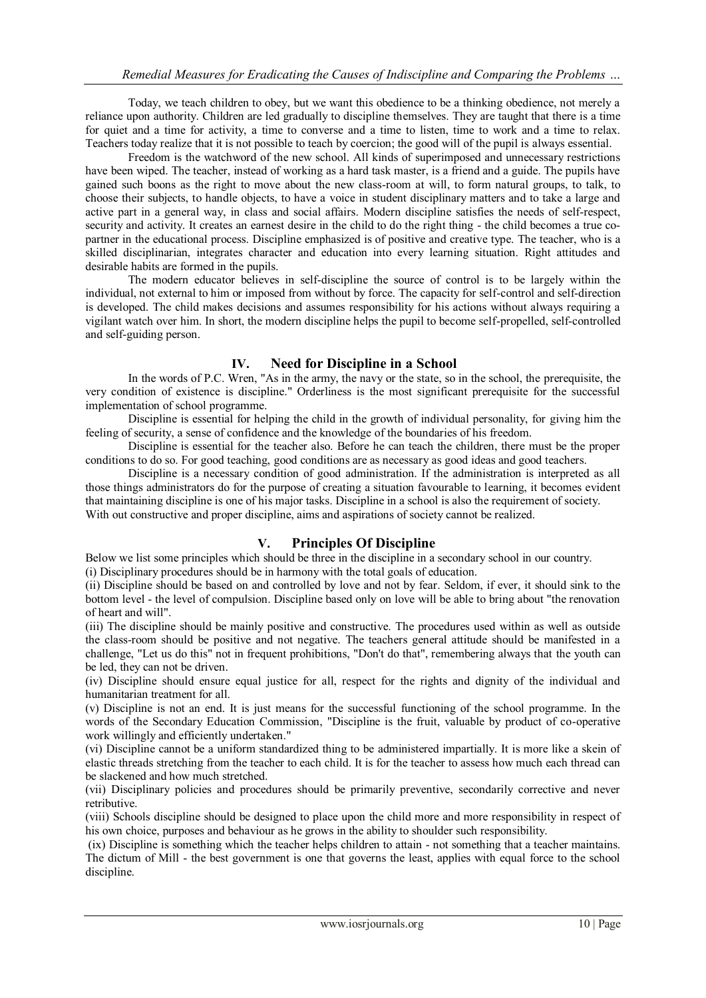Today, we teach children to obey, but we want this obedience to be a thinking obedience, not merely a reliance upon authority. Children are led gradually to discipline themselves. They are taught that there is a time for quiet and a time for activity, a time to converse and a time to listen, time to work and a time to relax. Teachers today realize that it is not possible to teach by coercion; the good will of the pupil is always essential.

Freedom is the watchword of the new school. All kinds of superimposed and unnecessary restrictions have been wiped. The teacher, instead of working as a hard task master, is a friend and a guide. The pupils have gained such boons as the right to move about the new class-room at will, to form natural groups, to talk, to choose their subjects, to handle objects, to have a voice in student disciplinary matters and to take a large and active part in a general way, in class and social affairs. Modern discipline satisfies the needs of self-respect, security and activity. It creates an earnest desire in the child to do the right thing - the child becomes a true copartner in the educational process. Discipline emphasized is of positive and creative type. The teacher, who is a skilled disciplinarian, integrates character and education into every learning situation. Right attitudes and desirable habits are formed in the pupils.

The modern educator believes in self-discipline the source of control is to be largely within the individual, not external to him or imposed from without by force. The capacity for self-control and self-direction is developed. The child makes decisions and assumes responsibility for his actions without always requiring a vigilant watch over him. In short, the modern discipline helps the pupil to become self-propelled, self-controlled and self-guiding person.

## **IV. Need for Discipline in a School**

In the words of P.C. Wren, "As in the army, the navy or the state, so in the school, the prerequisite, the very condition of existence is discipline." Orderliness is the most significant prerequisite for the successful implementation of school programme.

Discipline is essential for helping the child in the growth of individual personality, for giving him the feeling of security, a sense of confidence and the knowledge of the boundaries of his freedom.

Discipline is essential for the teacher also. Before he can teach the children, there must be the proper conditions to do so. For good teaching, good conditions are as necessary as good ideas and good teachers.

Discipline is a necessary condition of good administration. If the administration is interpreted as all those things administrators do for the purpose of creating a situation favourable to learning, it becomes evident that maintaining discipline is one of his major tasks. Discipline in a school is also the requirement of society. With out constructive and proper discipline, aims and aspirations of society cannot be realized.

## **V. Principles Of Discipline**

Below we list some principles which should be three in the discipline in a secondary school in our country.

(i) Disciplinary procedures should be in harmony with the total goals of education.

(ii) Discipline should be based on and controlled by love and not by fear. Seldom, if ever, it should sink to the bottom level - the level of compulsion. Discipline based only on love will be able to bring about "the renovation of heart and will".

(iii) The discipline should be mainly positive and constructive. The procedures used within as well as outside the class-room should be positive and not negative. The teachers general attitude should be manifested in a challenge, "Let us do this" not in frequent prohibitions, "Don't do that", remembering always that the youth can be led, they can not be driven.

(iv) Discipline should ensure equal justice for all, respect for the rights and dignity of the individual and humanitarian treatment for all.

(v) Discipline is not an end. It is just means for the successful functioning of the school programme. In the words of the Secondary Education Commission, "Discipline is the fruit, valuable by product of co-operative work willingly and efficiently undertaken."

(vi) Discipline cannot be a uniform standardized thing to be administered impartially. It is more like a skein of elastic threads stretching from the teacher to each child. It is for the teacher to assess how much each thread can be slackened and how much stretched.

(vii) Disciplinary policies and procedures should be primarily preventive, secondarily corrective and never retributive.

(viii) Schools discipline should be designed to place upon the child more and more responsibility in respect of his own choice, purposes and behaviour as he grows in the ability to shoulder such responsibility.

(ix) Discipline is something which the teacher helps children to attain - not something that a teacher maintains. The dictum of Mill - the best government is one that governs the least, applies with equal force to the school discipline.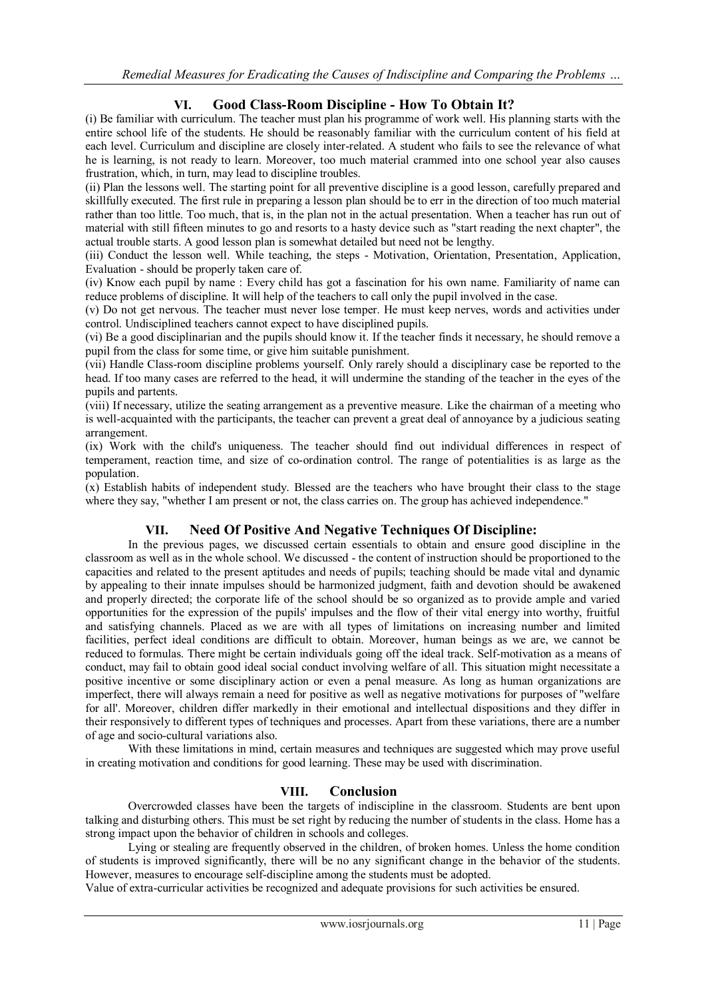## **VI. Good Class-Room Discipline - How To Obtain It?**

(i) Be familiar with curriculum. The teacher must plan his programme of work well. His planning starts with the entire school life of the students. He should be reasonably familiar with the curriculum content of his field at each level. Curriculum and discipline are closely inter-related. A student who fails to see the relevance of what he is learning, is not ready to learn. Moreover, too much material crammed into one school year also causes frustration, which, in turn, may lead to discipline troubles.

(ii) Plan the lessons well. The starting point for all preventive discipline is a good lesson, carefully prepared and skillfully executed. The first rule in preparing a lesson plan should be to err in the direction of too much material rather than too little. Too much, that is, in the plan not in the actual presentation. When a teacher has run out of material with still fifteen minutes to go and resorts to a hasty device such as "start reading the next chapter", the actual trouble starts. A good lesson plan is somewhat detailed but need not be lengthy.

(iii) Conduct the lesson well. While teaching, the steps - Motivation, Orientation, Presentation, Application, Evaluation - should be properly taken care of.

(iv) Know each pupil by name : Every child has got a fascination for his own name. Familiarity of name can reduce problems of discipline. It will help of the teachers to call only the pupil involved in the case.

(v) Do not get nervous. The teacher must never lose temper. He must keep nerves, words and activities under control. Undisciplined teachers cannot expect to have disciplined pupils.

(vi) Be a good disciplinarian and the pupils should know it. If the teacher finds it necessary, he should remove a pupil from the class for some time, or give him suitable punishment.

(vii) Handle Class-room discipline problems yourself. Only rarely should a disciplinary case be reported to the head. If too many cases are referred to the head, it will undermine the standing of the teacher in the eyes of the pupils and partents.

(viii) If necessary, utilize the seating arrangement as a preventive measure. Like the chairman of a meeting who is well-acquainted with the participants, the teacher can prevent a great deal of annoyance by a judicious seating arrangement.

(ix) Work with the child's uniqueness. The teacher should find out individual differences in respect of temperament, reaction time, and size of co-ordination control. The range of potentialities is as large as the population.

(x) Establish habits of independent study. Blessed are the teachers who have brought their class to the stage where they say, "whether I am present or not, the class carries on. The group has achieved independence."

## **VII. Need Of Positive And Negative Techniques Of Discipline:**

In the previous pages, we discussed certain essentials to obtain and ensure good discipline in the classroom as well as in the whole school. We discussed - the content of instruction should be proportioned to the capacities and related to the present aptitudes and needs of pupils; teaching should be made vital and dynamic by appealing to their innate impulses should be harmonized judgment, faith and devotion should be awakened and properly directed; the corporate life of the school should be so organized as to provide ample and varied opportunities for the expression of the pupils' impulses and the flow of their vital energy into worthy, fruitful and satisfying channels. Placed as we are with all types of limitations on increasing number and limited facilities, perfect ideal conditions are difficult to obtain. Moreover, human beings as we are, we cannot be reduced to formulas. There might be certain individuals going off the ideal track. Self-motivation as a means of conduct, may fail to obtain good ideal social conduct involving welfare of all. This situation might necessitate a positive incentive or some disciplinary action or even a penal measure. As long as human organizations are imperfect, there will always remain a need for positive as well as negative motivations for purposes of "welfare for all'. Moreover, children differ markedly in their emotional and intellectual dispositions and they differ in their responsively to different types of techniques and processes. Apart from these variations, there are a number of age and socio-cultural variations also.

With these limitations in mind, certain measures and techniques are suggested which may prove useful in creating motivation and conditions for good learning. These may be used with discrimination.

#### **VIII. Conclusion**

Overcrowded classes have been the targets of indiscipline in the classroom. Students are bent upon talking and disturbing others. This must be set right by reducing the number of students in the class. Home has a strong impact upon the behavior of children in schools and colleges.

Lying or stealing are frequently observed in the children, of broken homes. Unless the home condition of students is improved significantly, there will be no any significant change in the behavior of the students. However, measures to encourage self-discipline among the students must be adopted.

Value of extra-curricular activities be recognized and adequate provisions for such activities be ensured.